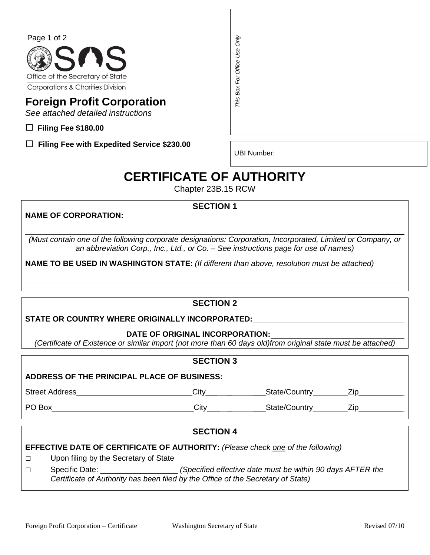

# **Foreign Profit Corporation**

*See attached detailed instructions* 

□ **Filing Fee \$180.00** 

**□ Filing Fee with Expedited Service \$230.00** 

UBI Number:

# **CERTIFICATE OF AUTHORITY**

Chapter 23B.15 RCW

**SECTION 1** 

# **NAME OF CORPORATION:**

\_\_\_\_\_\_\_\_\_\_\_\_\_\_\_\_\_\_\_\_\_\_\_\_\_\_\_\_\_\_\_\_\_\_\_\_\_\_\_\_\_\_\_\_\_\_\_\_\_\_\_\_\_\_\_\_\_\_\_\_\_\_\_\_\_\_\_\_\_\_\_\_\_\_\_\_ *(Must contain one of the following corporate designations: Corporation, Incorporated, Limited or Company, or an abbreviation Corp., Inc., Ltd., or Co. – See instructions page for use of names)*  of 2<br> **Certificate of Authority Certificate**<br> **CERTIFICATE OF AUTHORITY**<br> **CERTIFICATE OF AUTHORITY**<br> **CERTIFICATE OF AUTHORITY**<br>
CORPORATION:<br> **CERTIFICATE OF AUTHORITY**<br>
Chapter 238.15 RCW<br> **CERTIFICATE OF AUTHORITY**<br>
C

**NAME TO BE USED IN WASHINGTON STATE:** *(If different than above, resolution must be attached)*

# **SECTION 2**

**STATE OR COUNTRY WHERE ORIGINALLY INCORPORATED:**

## **DATE OF ORIGINAL INCORPORATION:**

*(Certificate of Existence or similar import (not more than 60 days old)from original state must be attached)*

# **SECTION 3**

## **ADDRESS OF THE PRINCIPAL PLACE OF BUSINESS:**

Street Address\_\_\_\_\_\_\_\_\_\_\_\_\_\_\_\_\_\_\_\_\_\_\_\_\_\_\_City\_\_\_ \_ \_\_\_State/Country Zip\_\_\_\_\_\_\_\_\_\_

PO Box\_\_\_\_\_\_\_\_\_\_\_\_\_\_\_\_\_\_\_\_\_\_\_\_\_\_\_\_\_\_\_\_\_City\_\_\_ \_ \_\_\_State/Country Zip\_\_\_\_\_\_\_\_\_\_

 $\overline{a}$ 

# **SECTION 4**

# **EFFECTIVE DATE OF CERTIFICATE OF AUTHORITY:** *(Please check one of the following)*

- □ Upon filing by the Secretary of State
- □ Specific Date: \_\_\_\_\_\_\_\_\_\_\_\_\_\_\_\_\_\_ *(Specified effective date must be within 90 days AFTER the*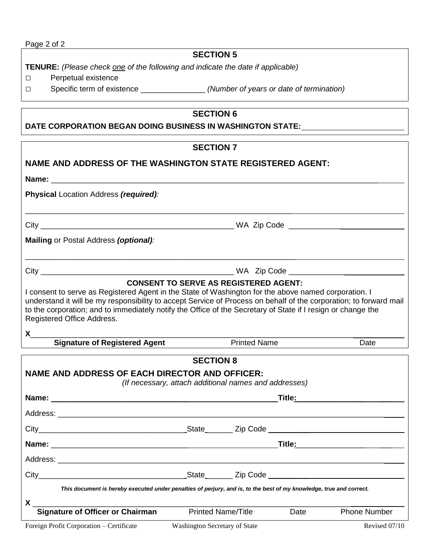# **SECTION 5**

**TENURE:** *(Please check one of the following and indicate the date if applicable)* 

- □ Perpetual existence
- 

□ Specific term of existence \_\_\_\_\_\_\_\_\_\_\_\_\_\_\_ *(Number of years or date of termination)* 

## **SECTION 6**

# **DATE CORPORATION BEGAN DOING BUSINESS IN WASHINGTON STATE:**

|                                                                                                                                                                                                                                                                                                                                                                          | <b>SECTION 7</b> |                                                       |                                |
|--------------------------------------------------------------------------------------------------------------------------------------------------------------------------------------------------------------------------------------------------------------------------------------------------------------------------------------------------------------------------|------------------|-------------------------------------------------------|--------------------------------|
| NAME AND ADDRESS OF THE WASHINGTON STATE REGISTERED AGENT:                                                                                                                                                                                                                                                                                                               |                  |                                                       |                                |
|                                                                                                                                                                                                                                                                                                                                                                          |                  |                                                       |                                |
| Physical Location Address (required):                                                                                                                                                                                                                                                                                                                                    |                  |                                                       |                                |
|                                                                                                                                                                                                                                                                                                                                                                          |                  |                                                       |                                |
| Mailing or Postal Address (optional):                                                                                                                                                                                                                                                                                                                                    |                  |                                                       |                                |
|                                                                                                                                                                                                                                                                                                                                                                          |                  |                                                       |                                |
| I consent to serve as Registered Agent in the State of Washington for the above named corporation. I<br>understand it will be my responsibility to accept Service of Process on behalf of the corporation; to forward mail<br>to the corporation; and to immediately notify the Office of the Secretary of State if I resign or change the<br>Registered Office Address. |                  | <b>CONSENT TO SERVE AS REGISTERED AGENT:</b>          |                                |
| $\boldsymbol{\mathsf{X}}$                                                                                                                                                                                                                                                                                                                                                |                  |                                                       |                                |
| <b>Signature of Registered Agent</b>                                                                                                                                                                                                                                                                                                                                     |                  | <b>Printed Name</b>                                   | Date                           |
| <b>NAME AND ADDRESS OF EACH DIRECTOR AND OFFICER:</b>                                                                                                                                                                                                                                                                                                                    | <b>SECTION 8</b> | (If necessary, attach additional names and addresses) |                                |
|                                                                                                                                                                                                                                                                                                                                                                          |                  |                                                       | Title <u>: _______________</u> |
|                                                                                                                                                                                                                                                                                                                                                                          |                  |                                                       |                                |
|                                                                                                                                                                                                                                                                                                                                                                          |                  |                                                       |                                |
|                                                                                                                                                                                                                                                                                                                                                                          |                  |                                                       |                                |
|                                                                                                                                                                                                                                                                                                                                                                          |                  |                                                       |                                |
|                                                                                                                                                                                                                                                                                                                                                                          |                  |                                                       |                                |

*This document is hereby executed under penalties of perjury, and is, to the best of my knowledge, true and correct.* 

**X** \_\_\_\_\_\_\_\_\_\_\_\_\_\_\_\_\_\_\_\_\_\_\_\_\_\_\_\_\_\_\_\_\_\_\_\_\_\_\_\_\_\_\_\_\_\_\_\_\_\_\_\_\_\_\_\_\_\_\_\_\_\_\_\_\_\_\_\_\_\_\_\_\_\_ **Signature of Officer or Chairman** Printed Name/Title Date Phone Number

Foreign Profit Corporation – Certificate Washington Secretary of State Revised 07/10